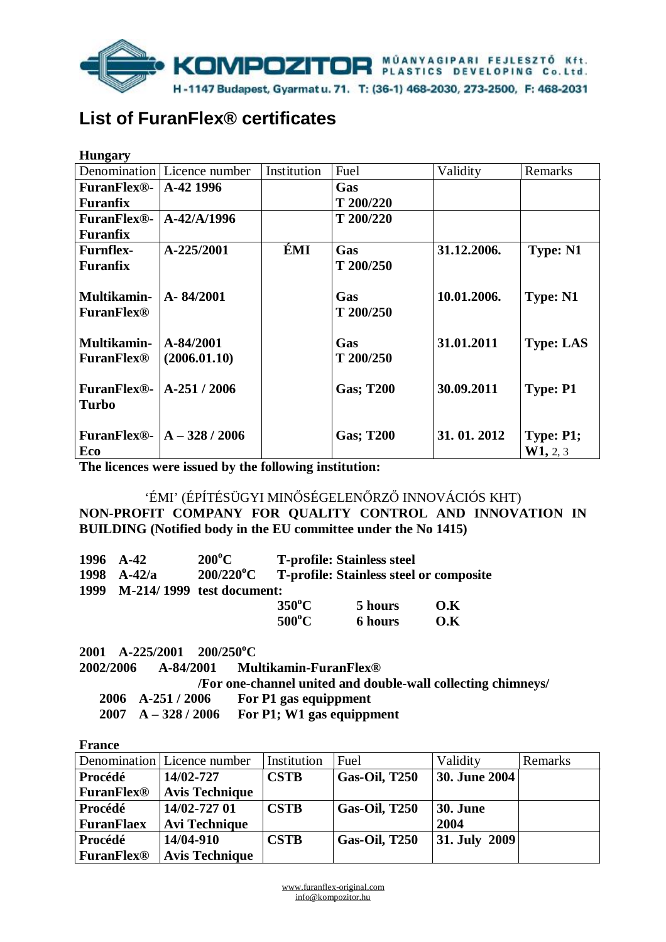

# **List of FuranFlex® certificates**

| <b>Hungary</b>     |                                        |             |                  |             |                  |
|--------------------|----------------------------------------|-------------|------------------|-------------|------------------|
|                    | Denomination Licence number            | Institution | Fuel             | Validity    | Remarks          |
| <b>FuranFlex®-</b> | A-42 1996                              |             | Gas              |             |                  |
| Furanfix           |                                        |             | T 200/220        |             |                  |
| <b>FuranFlex®-</b> | $A - 42/A/1996$                        |             | T 200/220        |             |                  |
| <b>Furanfix</b>    |                                        |             |                  |             |                  |
| <b>Furnflex-</b>   | A-225/2001                             | ÉMI         | Gas              | 31.12.2006. | <b>Type: N1</b>  |
| <b>Furanfix</b>    |                                        |             | T 200/250        |             |                  |
|                    |                                        |             |                  |             |                  |
| Multikamin-        | A-84/2001                              |             | Gas              | 10.01.2006. | <b>Type: N1</b>  |
| <b>FuranFlex®</b>  |                                        |             | T 200/250        |             |                  |
|                    |                                        |             |                  |             |                  |
| Multikamin-        | $A - 84/2001$                          |             | Gas              | 31.01.2011  | <b>Type: LAS</b> |
| <b>FuranFlex®</b>  | (2006.01.10)                           |             | T 200/250        |             |                  |
|                    |                                        |             |                  |             |                  |
| <b>FuranFlex®-</b> | $A-251/2006$                           |             | <b>Gas; T200</b> | 30.09.2011  | <b>Type: P1</b>  |
| Turbo              |                                        |             |                  |             |                  |
|                    |                                        |             |                  |             |                  |
|                    | FuranFlex®- $\vert A - 328/2006 \vert$ |             | <b>Gas; T200</b> | 31.01.2012  | Type: P1;        |
| Eco                |                                        |             |                  |             | W1, 2, 3         |

**The licences were issued by the following institution:** 

'ÉMI' (ÉPÍTÉSÜGYI MINŐSÉGELENŐRZŐ INNOVÁCIÓS KHT) **NON-PROFIT COMPANY FOR QUALITY CONTROL AND INNOVATION IN BUILDING (Notified body in the EU committee under the No 1415)** 

|      | 1996 A-42                        | $200^{\circ}$ C     |                 | <b>T-profile: Stainless steel</b> |                                                |
|------|----------------------------------|---------------------|-----------------|-----------------------------------|------------------------------------------------|
|      | 1998 $A-42/a$                    | $200/220^{\circ}$ C |                 |                                   | <b>T-profile: Stainless steel or composite</b> |
| 1999 | <b>M-214/1999</b> test document: |                     |                 |                                   |                                                |
|      |                                  |                     | $350^{\circ}$ C | 5 hours                           | O.K                                            |
|      |                                  |                     | $500^{\circ}$ C | <b>6 hours</b>                    | 0.K                                            |

**2001 A-225/2001 200/250<sup>o</sup>C 2002/2006 A-84/2001 Multikamin-FuranFlex® /For one-channel united and double-wall collecting chimneys/ 2006 A-251 / 2006 For P1 gas equippment 2007 A – 328 / 2006 For P1; W1 gas equippment** 

**France** 

|                   | Denomination   Licence number | Institution | Fuel                 | Validity             | Remarks |
|-------------------|-------------------------------|-------------|----------------------|----------------------|---------|
| <b>Procédé</b>    | 14/02-727                     | <b>CSTB</b> | <b>Gas-Oil, T250</b> | <b>30. June 2004</b> |         |
| <b>FuranFlex®</b> | <b>Avis Technique</b>         |             |                      |                      |         |
| Procédé           | 14/02-727 01                  | <b>CSTB</b> | <b>Gas-Oil, T250</b> | <b>30. June</b>      |         |
| <b>FuranFlaex</b> | <b>Avi Technique</b>          |             |                      | 2004                 |         |
| Procédé           | 14/04-910                     | <b>CSTB</b> | <b>Gas-Oil, T250</b> | <b>31. July 2009</b> |         |
| <b>FuranFlex®</b> | <b>Avis Technique</b>         |             |                      |                      |         |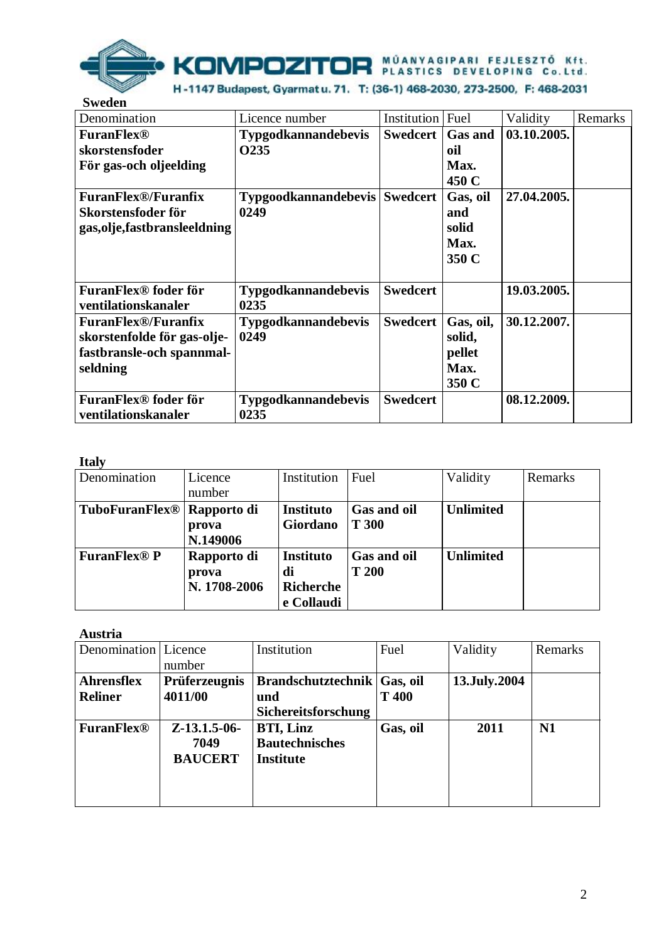

| эwеаен                                                                                             |                                              |                 |                                                |             |         |
|----------------------------------------------------------------------------------------------------|----------------------------------------------|-----------------|------------------------------------------------|-------------|---------|
| Denomination                                                                                       | Licence number                               | Institution     | Fuel                                           | Validity    | Remarks |
| <b>FuranFlex®</b><br>skorstensfoder<br>För gas-och oljeelding                                      | <b>Typgodkannandebevis</b><br>0235           | <b>Swedcert</b> | <b>Gas and</b><br>oil<br>Max.<br>450 C         | 03.10.2005. |         |
| <b>FuranFlex®/Furanfix</b><br>Skorstensfoder för<br>gas, olje, fastbransleeldning                  | <b>Typgoodkannandebevis Swedcert</b><br>0249 |                 | Gas, oil<br>and<br>solid<br>Max.<br>350 C      | 27.04.2005. |         |
| FuranFlex <sup>®</sup> foder för<br>ventilationskanaler                                            | <b>Typgodkannandebevis</b><br>0235           | <b>Swedcert</b> |                                                | 19.03.2005. |         |
| <b>FuranFlex®/Furanfix</b><br>skorstenfolde för gas-olje-<br>fastbransle-och spannmal-<br>seldning | <b>Typgodkannandebevis</b><br>0249           | <b>Swedcert</b> | Gas, oil,<br>solid,<br>pellet<br>Max.<br>350 C | 30.12.2007. |         |
| FuranFlex <sup>®</sup> foder för<br>ventilationskanaler                                            | <b>Typgodkannandebevis</b><br>0235           | <b>Swedcert</b> |                                                | 08.12.2009. |         |

# **Italy**

| -----                                  |              |                  |              |                  |         |
|----------------------------------------|--------------|------------------|--------------|------------------|---------|
| Denomination                           | Licence      | Institution      | Fuel         | Validity         | Remarks |
|                                        | number       |                  |              |                  |         |
| TuboFuranFlex <sup>®</sup> Rapporto di |              | <b>Instituto</b> | Gas and oil  | <b>Unlimited</b> |         |
|                                        | prova        | Giordano         | <b>T 300</b> |                  |         |
|                                        | N.149006     |                  |              |                  |         |
| <b>FuranFlex® P</b>                    | Rapporto di  | <b>Instituto</b> | Gas and oil  | <b>Unlimited</b> |         |
|                                        | prova        | di               | <b>T 200</b> |                  |         |
|                                        | N. 1708-2006 | Richerche        |              |                  |         |
|                                        |              | e Collaudi       |              |                  |         |

#### **Austria**

| Denomination      | Licence              | Institution                   | Fuel     | Validity     | Remarks |
|-------------------|----------------------|-------------------------------|----------|--------------|---------|
|                   | number               |                               |          |              |         |
| <b>Ahrensflex</b> | <b>Prüferzeugnis</b> | Brandschutztechnik   Gas, oil |          | 13.July.2004 |         |
| <b>Reliner</b>    | 4011/00              | und                           | T 400    |              |         |
|                   |                      | Sichereitsforschung           |          |              |         |
| <b>FuranFlex®</b> | $Z-13.1.5-06-$       | <b>BTI, Linz</b>              | Gas, oil | 2011         | N1      |
|                   | 7049                 | <b>Bautechnisches</b>         |          |              |         |
|                   | <b>BAUCERT</b>       | <b>Institute</b>              |          |              |         |
|                   |                      |                               |          |              |         |
|                   |                      |                               |          |              |         |
|                   |                      |                               |          |              |         |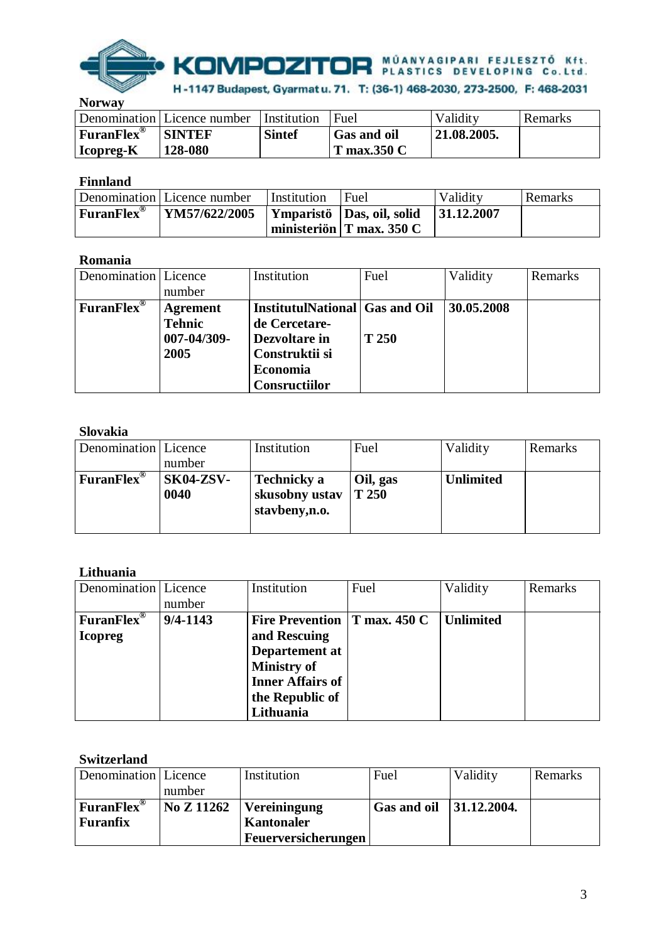

**Norway** 

|                                             | Denomination Licence number | l Institution | Fuel                              | Validity     | Remarks |
|---------------------------------------------|-----------------------------|---------------|-----------------------------------|--------------|---------|
| $ $ FuranFlex $^{\circledR}$<br>  Icopreg-K | <b>SINTEF</b><br>128-080    | <b>Sintef</b> | <b>Gas and oil</b><br>T max.350 C | 121.08.2005. |         |

## **Finnland**

|                             | Denomination Licence number | Institution | Fuel                                     | Validity    | Remarks |
|-----------------------------|-----------------------------|-------------|------------------------------------------|-------------|---------|
| $ $ Furan Flex <sup>®</sup> | <b>YM57/622/2005</b>        |             | Ymparistö Das, oil, solid                | 131.12.2007 |         |
|                             |                             |             | $\vert$ ministeriön $\vert$ T max. 350 C |             |         |

#### **Romania**

| Denomination Licence          | number                                                  | Institution                                                                                                            | Fuel  | Validity   | Remarks |
|-------------------------------|---------------------------------------------------------|------------------------------------------------------------------------------------------------------------------------|-------|------------|---------|
| <b>FuranFlex</b> <sup>®</sup> | <b>Agrement</b><br><b>Tehnic</b><br>007-04/309-<br>2005 | <b>InstitutulNational Gas and Oil</b><br>de Cercetare-<br>Dezvoltare in<br>Construktii si<br>Economia<br>Consructiilor | T 250 | 30.05.2008 |         |

### **Slovakia**

| Denomination Licence         |                          | Institution                                            | Fuel                | Validity         | Remarks |
|------------------------------|--------------------------|--------------------------------------------------------|---------------------|------------------|---------|
|                              | number                   |                                                        |                     |                  |         |
| $ $ FuranFlex $^{\circledR}$ | <b>SK04-ZSV-</b><br>0040 | <b>Technicky a</b><br>skusobny ustav<br>stavbeny, n.o. | Oil, gas<br>  T 250 | <b>Unlimited</b> |         |

## **Lithuania**

| Denomination   Licence        |              | Institution                     | Fuel | Validity  | Remarks |
|-------------------------------|--------------|---------------------------------|------|-----------|---------|
|                               | number       |                                 |      |           |         |
| <b>FuranFlex</b> <sup>®</sup> | $9/4 - 1143$ | Fire Prevention $ T$ max. 450 C |      | Unlimited |         |
| <b>Icopreg</b>                |              | and Rescuing                    |      |           |         |
|                               |              | Departement at                  |      |           |         |
|                               |              | <b>Ministry of</b>              |      |           |         |
|                               |              | <b>Inner Affairs of</b>         |      |           |         |
|                               |              | the Republic of                 |      |           |         |
|                               |              | Lithuania                       |      |           |         |

#### **Switzerland**

| Denomination Licence         |            | Institution         | Fuel                       | Validity | Remarks |
|------------------------------|------------|---------------------|----------------------------|----------|---------|
|                              | number     |                     |                            |          |         |
| $ $ FuranFlex $^{\circledR}$ | No Z 11262 | Vereiningung        | Gas and oil $ 31.12.2004.$ |          |         |
| Furanfix                     |            | Kantonaler          |                            |          |         |
|                              |            | Feuerversicherungen |                            |          |         |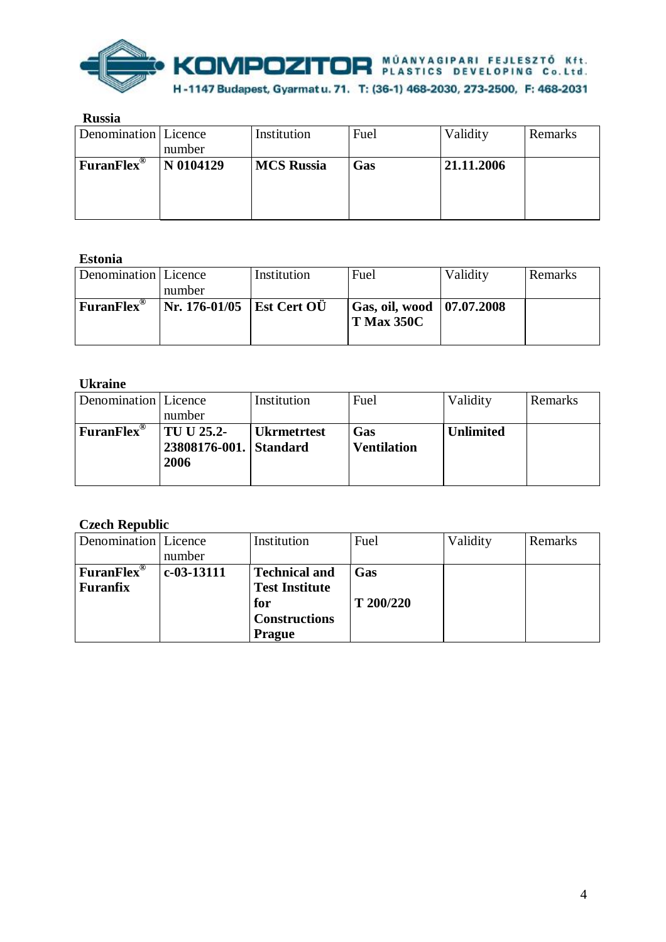

| <b>Russia</b>          |           |                   |      |            |         |
|------------------------|-----------|-------------------|------|------------|---------|
| Denomination Licence   |           | Institution       | Fuel | Validity   | Remarks |
|                        | number    |                   |      |            |         |
| FuranFlex <sup>®</sup> | N 0104129 | <b>MCS Russia</b> | Gas  | 21.11.2006 |         |
|                        |           |                   |      |            |         |
|                        |           |                   |      |            |         |
|                        |           |                   |      |            |         |

# **Estonia**

| Denomination Licence    |                             | Institution | Fuel                          | Validity | Remarks |
|-------------------------|-----------------------------|-------------|-------------------------------|----------|---------|
|                         | number                      |             |                               |          |         |
| $FuranFlex^{\circledR}$ | Nr. 176-01/05   Est Cert OU |             | Gas, oil, wood $ 07.07.2008 $ |          |         |
|                         |                             |             | <b>T Max 350C</b>             |          |         |
|                         |                             |             |                               |          |         |

### **Ukraine**

| was unde             |                        |                    |                    |                  |         |
|----------------------|------------------------|--------------------|--------------------|------------------|---------|
| Denomination Licence |                        | Institution        | Fuel               | Validity         | Remarks |
|                      | number                 |                    |                    |                  |         |
| <b>FuranFlex®</b>    | TU U 25.2-             | <b>Ukrmetrtest</b> | Gas                | <b>Unlimited</b> |         |
|                      | 23808176-001. Standard |                    | <b>Ventilation</b> |                  |         |
|                      | 2006                   |                    |                    |                  |         |
|                      |                        |                    |                    |                  |         |

# **Czech Republic**

| Denomination Licence |              | Institution           | Fuel      | Validity | Remarks |
|----------------------|--------------|-----------------------|-----------|----------|---------|
|                      | number       |                       |           |          |         |
| <b>FuranFlex®</b>    | $c-03-13111$ | <b>Technical and</b>  | Gas       |          |         |
| <b>Furanfix</b>      |              | <b>Test Institute</b> |           |          |         |
|                      |              | for                   | T 200/220 |          |         |
|                      |              | <b>Constructions</b>  |           |          |         |
|                      |              | <b>Prague</b>         |           |          |         |